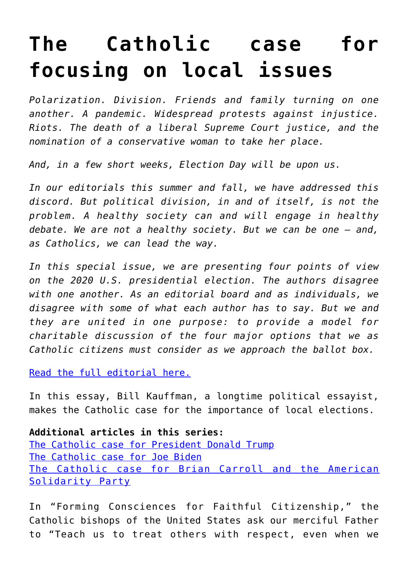## **[The Catholic case for](https://www.osvnews.com/2020/09/29/the-catholic-case-for-focusing-on-local-issues/) [focusing on local issues](https://www.osvnews.com/2020/09/29/the-catholic-case-for-focusing-on-local-issues/)**

*Polarization. Division. Friends and family turning on one another. A pandemic. Widespread protests against injustice. Riots. The death of a liberal Supreme Court justice, and the nomination of a conservative woman to take her place.*

*And, in a few short weeks, Election Day will be upon us.*

*In our editorials this summer and fall, we have addressed this discord. But political division, in and of itself, is not the problem. A healthy society can and will engage in healthy debate. We are not a healthy society. But we can be one — and, as Catholics, we can lead the way.*

*In this special issue, we are presenting four points of view on the 2020 U.S. presidential election. The authors disagree with one another. As an editorial board and as individuals, we disagree with some of what each author has to say. But we and they are united in one purpose: to provide a model for charitable discussion of the four major options that we as Catholic citizens must consider as we approach the ballot box.*

[Read the full editorial here.](https://www.osvnews.com/2020/09/29/think-political-dialogue-isnt-possible-think-again/)

In this essay, Bill Kauffman, a longtime political essayist, makes the Catholic case for the importance of local elections.

**Additional articles in this series:** [The Catholic case for President Donald Trump](https://www.osvnews.com/2020/09/29/the-catholic-case-for-donald-trump/) [The Catholic case for Joe Biden](https://www.osvnews.com/2020/09/29/the-catholic-case-for-joe-biden/) [The Catholic case for Brian Carroll and the American](https://www.osvnews.com/2020/09/29/the-catholic-case-for-brian-carroll-of-the-american-solidarity-party/) [Solidarity Party](https://www.osvnews.com/2020/09/29/the-catholic-case-for-brian-carroll-of-the-american-solidarity-party/)

In "Forming Consciences for Faithful Citizenship," the Catholic bishops of the United States ask our merciful Father to "Teach us to treat others with respect, even when we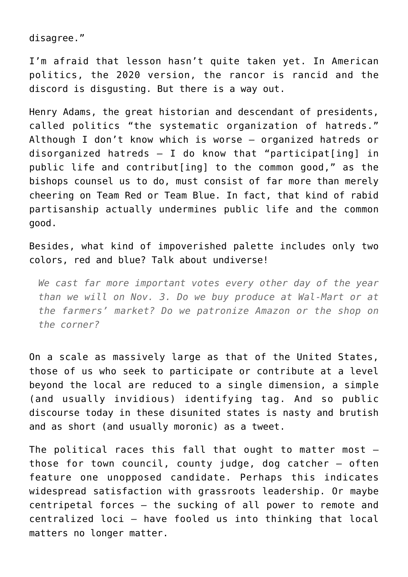disagree."

I'm afraid that lesson hasn't quite taken yet. In American politics, the 2020 version, the rancor is rancid and the discord is disgusting. But there is a way out.

Henry Adams, the great historian and descendant of presidents, called politics "the systematic organization of hatreds." Although I don't know which is worse — organized hatreds or disorganized hatreds — I do know that "participat[ing] in public life and contribut[ing] to the common good," as the bishops counsel us to do, must consist of far more than merely cheering on Team Red or Team Blue. In fact, that kind of rabid partisanship actually undermines public life and the common good.

Besides, what kind of impoverished palette includes only two colors, red and blue? Talk about undiverse!

*We cast far more important votes every other day of the year than we will on Nov. 3. Do we buy produce at Wal-Mart or at the farmers' market? Do we patronize Amazon or the shop on the corner?*

On a scale as massively large as that of the United States, those of us who seek to participate or contribute at a level beyond the local are reduced to a single dimension, a simple (and usually invidious) identifying tag. And so public discourse today in these disunited states is nasty and brutish and as short (and usually moronic) as a tweet.

The political races this fall that ought to matter most those for town council, county judge, dog catcher — often feature one unopposed candidate. Perhaps this indicates widespread satisfaction with grassroots leadership. Or maybe centripetal forces — the sucking of all power to remote and centralized loci — have fooled us into thinking that local matters no longer matter.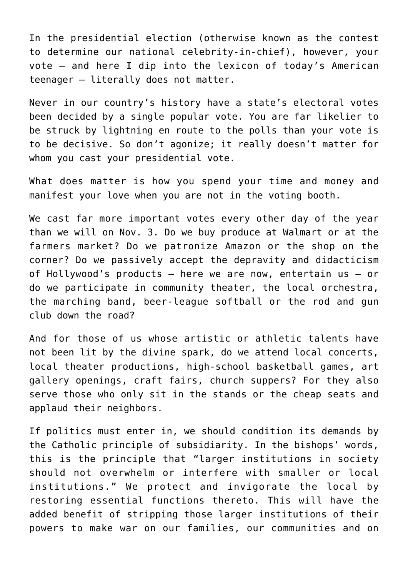In the presidential election (otherwise known as the contest to determine our national celebrity-in-chief), however, your vote — and here I dip into the lexicon of today's American teenager — literally does not matter.

Never in our country's history have a state's electoral votes been decided by a single popular vote. You are far likelier to be struck by lightning en route to the polls than your vote is to be decisive. So don't agonize; it really doesn't matter for whom you cast your presidential vote.

What does matter is how you spend your time and money and manifest your love when you are not in the voting booth.

We cast far more important votes every other day of the year than we will on Nov. 3. Do we buy produce at Walmart or at the farmers market? Do we patronize Amazon or the shop on the corner? Do we passively accept the depravity and didacticism of Hollywood's products — here we are now, entertain us — or do we participate in community theater, the local orchestra, the marching band, beer-league softball or the rod and gun club down the road?

And for those of us whose artistic or athletic talents have not been lit by the divine spark, do we attend local concerts, local theater productions, high-school basketball games, art gallery openings, craft fairs, church suppers? For they also serve those who only sit in the stands or the cheap seats and applaud their neighbors.

If politics must enter in, we should condition its demands by the Catholic principle of subsidiarity. In the bishops' words, this is the principle that "larger institutions in society should not overwhelm or interfere with smaller or local institutions." We protect and invigorate the local by restoring essential functions thereto. This will have the added benefit of stripping those larger institutions of their powers to make war on our families, our communities and on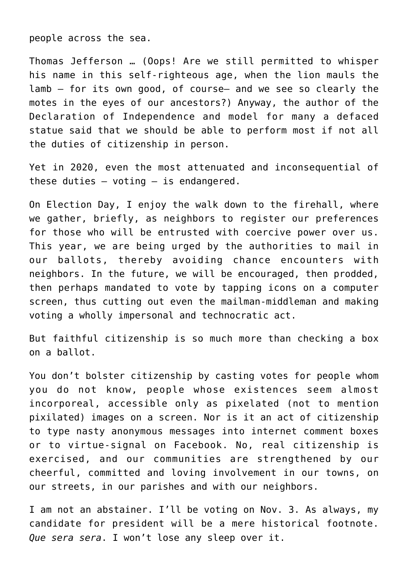people across the sea.

Thomas Jefferson … (Oops! Are we still permitted to whisper his name in this self-righteous age, when the lion mauls the lamb — for its own good, of course– and we see so clearly the motes in the eyes of our ancestors?) Anyway, the author of the Declaration of Independence and model for many a defaced statue said that we should be able to perform most if not all the duties of citizenship in person.

Yet in 2020, even the most attenuated and inconsequential of these duties  $-$  voting  $-$  is endangered.

On Election Day, I enjoy the walk down to the firehall, where we gather, briefly, as neighbors to register our preferences for those who will be entrusted with coercive power over us. This year, we are being urged by the authorities to mail in our ballots, thereby avoiding chance encounters with neighbors. In the future, we will be encouraged, then prodded, then perhaps mandated to vote by tapping icons on a computer screen, thus cutting out even the mailman-middleman and making voting a wholly impersonal and technocratic act.

But faithful citizenship is so much more than checking a box on a ballot.

You don't bolster citizenship by casting votes for people whom you do not know, people whose existences seem almost incorporeal, accessible only as pixelated (not to mention pixilated) images on a screen. Nor is it an act of citizenship to type nasty anonymous messages into internet comment boxes or to virtue-signal on Facebook. No, real citizenship is exercised, and our communities are strengthened by our cheerful, committed and loving involvement in our towns, on our streets, in our parishes and with our neighbors.

I am not an abstainer. I'll be voting on Nov. 3. As always, my candidate for president will be a mere historical footnote. *Que sera sera*. I won't lose any sleep over it.